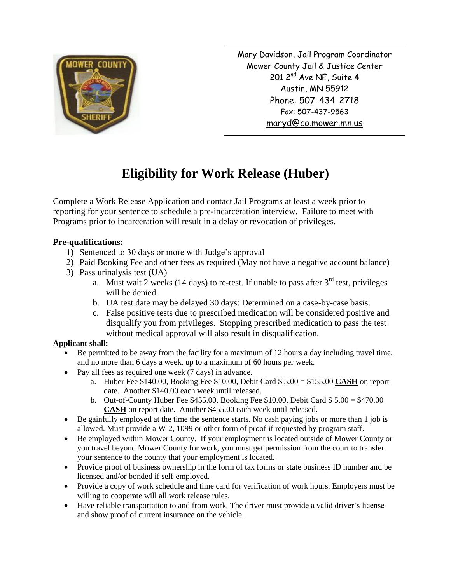

Mary Davidson, Jail Program Coordinator Mower County Jail & Justice Center 201 2<sup>nd</sup> Ave NE, Suite 4 Austin, MN 55912 Phone: 507-434-2718 Fax: 507-437-9563 [maryd@co.mower.mn.us](mailto:maryd@co.mower.mn.us)

## **Eligibility for Work Release (Huber)**

Complete a Work Release Application and contact Jail Programs at least a week prior to reporting for your sentence to schedule a pre-incarceration interview. Failure to meet with Programs prior to incarceration will result in a delay or revocation of privileges.

## **Pre-qualifications:**

- 1) Sentenced to 30 days or more with Judge's approval
- 2) Paid Booking Fee and other fees as required (May not have a negative account balance)
- 3) Pass urinalysis test (UA)
	- a. Must wait 2 weeks (14 days) to re-test. If unable to pass after  $3<sup>rd</sup>$  test, privileges will be denied.
	- b. UA test date may be delayed 30 days: Determined on a case-by-case basis.
	- c. False positive tests due to prescribed medication will be considered positive and disqualify you from privileges. Stopping prescribed medication to pass the test without medical approval will also result in disqualification.

## **Applicant shall:**

- Be permitted to be away from the facility for a maximum of 12 hours a day including travel time, and no more than 6 days a week, up to a maximum of 60 hours per week.
- Pay all fees as required one week (7 days) in advance.
	- a. Huber Fee \$140.00, Booking Fee \$10.00, Debit Card \$ 5.00 = \$155.00 **CASH** on report date. Another \$140.00 each week until released.
	- b. Out-of-County Huber Fee \$455.00, Booking Fee \$10.00, Debit Card \$ 5.00 = \$470.00 **CASH** on report date. Another \$455.00 each week until released.
- Be gainfully employed at the time the sentence starts. No cash paying jobs or more than 1 job is allowed. Must provide a W-2, 1099 or other form of proof if requested by program staff.
- Be employed within Mower County. If your employment is located outside of Mower County or you travel beyond Mower County for work, you must get permission from the court to transfer your sentence to the county that your employment is located.
- Provide proof of business ownership in the form of tax forms or state business ID number and be licensed and/or bonded if self-employed.
- Provide a copy of work schedule and time card for verification of work hours. Employers must be willing to cooperate will all work release rules.
- Have reliable transportation to and from work. The driver must provide a valid driver's license and show proof of current insurance on the vehicle.